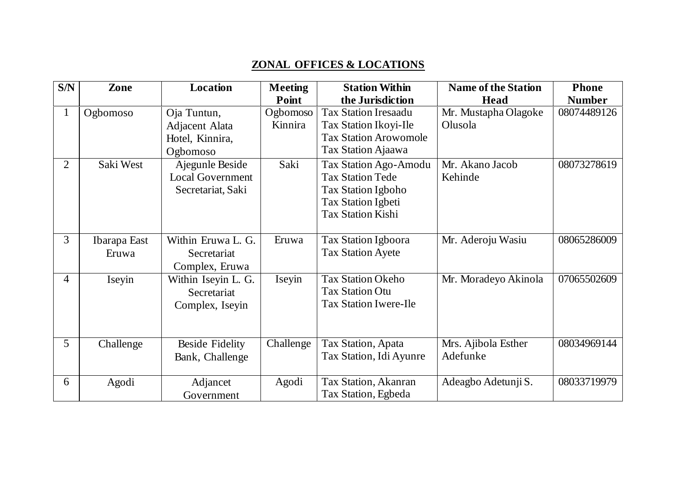## **ZONAL OFFICES & LOCATIONS**

| S/N            | Zone         | <b>Location</b>         | <b>Meeting</b> | <b>Station Within</b>        | <b>Name of the Station</b> | <b>Phone</b>  |
|----------------|--------------|-------------------------|----------------|------------------------------|----------------------------|---------------|
|                |              |                         | Point          | the Jurisdiction             | Head                       | <b>Number</b> |
| $\mathbf{1}$   | Ogbomoso     | Oja Tuntun,             | Ogbomoso       | <b>Tax Station Iresaadu</b>  | Mr. Mustapha Olagoke       | 08074489126   |
|                |              | Adjacent Alata          | Kinnira        | Tax Station Ikoyi-Ile        | Olusola                    |               |
|                |              | Hotel, Kinnira,         |                | <b>Tax Station Arowomole</b> |                            |               |
|                |              | Ogbomoso                |                | Tax Station Ajaawa           |                            |               |
| $\overline{2}$ | Saki West    | Ajegunle Beside         | Saki           | <b>Tax Station Ago-Amodu</b> | Mr. Akano Jacob            | 08073278619   |
|                |              | <b>Local Government</b> |                | <b>Tax Station Tede</b>      | Kehinde                    |               |
|                |              | Secretariat, Saki       |                | <b>Tax Station Igboho</b>    |                            |               |
|                |              |                         |                | <b>Tax Station Igbeti</b>    |                            |               |
|                |              |                         |                | <b>Tax Station Kishi</b>     |                            |               |
|                |              |                         |                |                              |                            |               |
| 3              | Ibarapa East | Within Eruwa L. G.      | Eruwa          | Tax Station Igboora          | Mr. Aderoju Wasiu          | 08065286009   |
|                | Eruwa        | Secretariat             |                | <b>Tax Station Ayete</b>     |                            |               |
|                |              | Complex, Eruwa          |                |                              |                            |               |
| $\overline{4}$ | Iseyin       | Within Iseyin L. G.     | Iseyin         | <b>Tax Station Okeho</b>     | Mr. Moradeyo Akinola       | 07065502609   |
|                |              | Secretariat             |                | <b>Tax Station Otu</b>       |                            |               |
|                |              | Complex, Iseyin         |                | <b>Tax Station Iwere-Ile</b> |                            |               |
|                |              |                         |                |                              |                            |               |
|                |              |                         |                |                              |                            |               |
| 5              | Challenge    | <b>Beside Fidelity</b>  | Challenge      | Tax Station, Apata           | Mrs. Ajibola Esther        | 08034969144   |
|                |              | Bank, Challenge         |                | Tax Station, Idi Ayunre      | Adefunke                   |               |
|                |              |                         |                |                              |                            |               |
| 6              | Agodi        | Adjancet                | Agodi          | Tax Station, Akanran         | Adeagbo Adetunji S.        | 08033719979   |
|                |              | Government              |                | Tax Station, Egbeda          |                            |               |